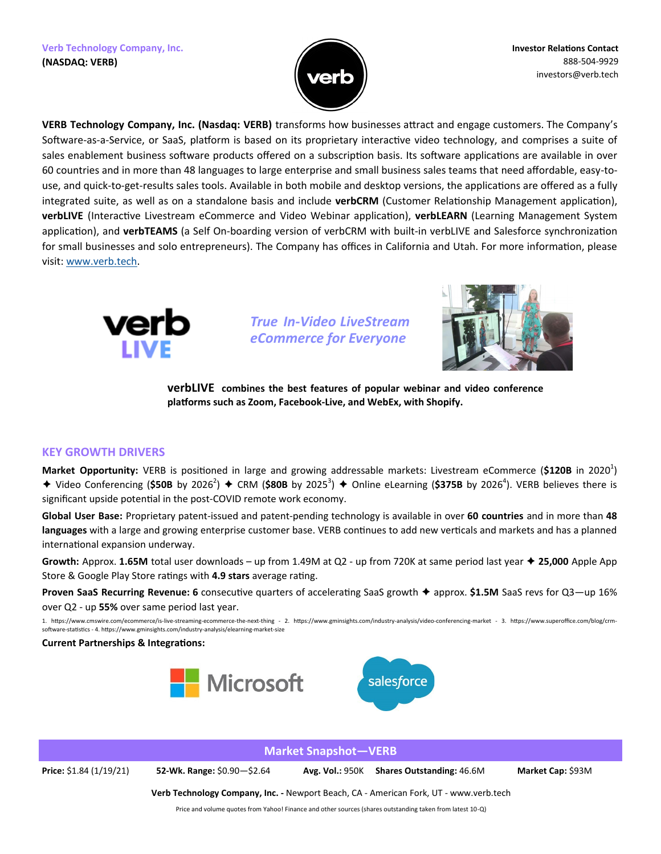

**VERB Technology Company, Inc. (Nasdaq: VERB)** transforms how businesses attract and engage customers. The Company's Software-as-a-Service, or SaaS, platform is based on its proprietary interactive video technology, and comprises a suite of sales enablement business software products offered on a subscription basis. Its software applications are available in over 60 countries and in more than 48 languages to large enterprise and small business sales teams that need affordable, easy-touse, and quick-to-get-results sales tools. Available in both mobile and desktop versions, the applications are offered as a fully integrated suite, as well as on a standalone basis and include **verbCRM** (Customer Relationship Management application), **verbLIVE** (Interactive Livestream eCommerce and Video Webinar application), **verbLEARN** (Learning Management System application), and **verbTEAMS** (a Self On-boarding version of verbCRM with built-in verbLIVE and Salesforce synchronization for small businesses and solo entrepreneurs). The Company has offices in California and Utah. For more information, please visit: [www.verb.tech.](http://www.verb.tech/) 



*True In-Video LiveStream eCommerce for Everyone*



**verbLIVE combines the best features of popular webinar and video conference platforms such as Zoom, Facebook-Live, and WebEx, with Shopify.**

## **KEY GROWTH DRIVERS**

Market Opportunity: VERB is positioned in large and growing addressable markets: Livestream eCommerce (\$120B in 2020<sup>1</sup>) ◆ Video Conferencing (\$50B by 2026<sup>2</sup>) ◆ CRM (\$80B by 2025<sup>3</sup>) ◆ Online eLearning (\$375B by 2026<sup>4</sup>). VERB believes there is significant upside potential in the post-COVID remote work economy.

**Global User Base:** Proprietary patent-issued and patent-pending technology is available in over **60 countries** and in more than **48 languages** with a large and growing enterprise customer base. VERB continues to add new verticals and markets and has a planned international expansion underway.

**Growth:** Approx. **1.65M** total user downloads – up from 1.49M at Q2 - up from 720K at same period last year **25,000** Apple App Store & Google Play Store ratings with **4.9 stars** average rating.

**Proven SaaS Recurring Revenue: 6** consecutive quarters of accelerating SaaS growth ♦ approx. \$1.5M SaaS revs for Q3—up 16% over Q2 - up **55%** over same period last year.

1. https://www.cmswire.com/ecommerce/is-live-streaming-ecommerce-the-next-thing - 2. https://www.gminsights.com/industry-analysis/video-conferencing-market - 3. https://www.superoffice.com/blog/crmsoftware-statistics - 4. https://www.gminsights.com/industry-analysis/elearning-market-size

**Current Partnerships & Integrations:** 





**Market Snapshot—VERB Price:** \$1.84 (1/19/21) **52-Wk. Range:** \$0.90—\$2.64 **Avg. Vol.:** 950K **Shares Outstanding:** 46.6M **Market Cap:** \$93M **Verb Technology Company, Inc. -** Newport Beach, CA - American Fork, UT - www.verb.tech

Price and volume quotes from Yahoo! Finance and other sources (shares outstanding taken from latest 10-Q)